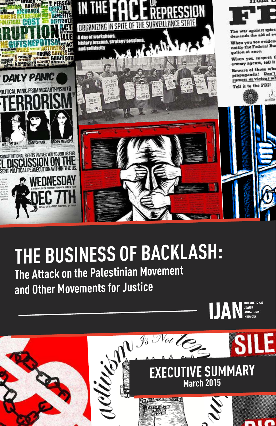

# **THE BUSINESS OF BACKLASH:**

**The Attack on the Palestinian Movement and Other Movements for Justice**



INTERNATIONAL<br>JEWISH<br>ANTI-ZIONIST

**IJAN**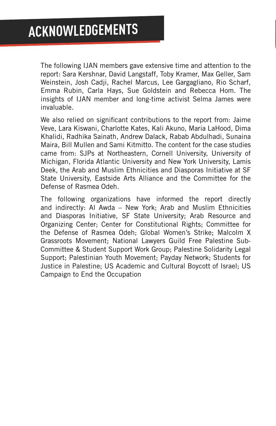The following IJAN members gave extensive time and attention to the report: Sara Kershnar, David Langstaff, Toby Kramer, Max Geller, Sam Weinstein, Josh Cadji, Rachel Marcus, Lee Gargagliano, Rio Scharf, Emma Rubin, Carla Hays, Sue Goldstein and Rebecca Hom. The insights of IJAN member and long-time activist Selma James were invaluable.

We also relied on significant contributions to the report from: Jaime Veve, Lara Kiswani, Charlotte Kates, Kali Akuno, Maria LaHood, Dima Khalidi, Radhika Sainath, Andrew Dalack, Rabab Abdulhadi, Sunaina Maira, Bill Mullen and Sami Kitmitto. The content for the case studies came from: SJPs at Northeastern, Cornell University, University of Michigan, Florida Atlantic University and New York University, Lamis Deek, the Arab and Muslim Ethnicities and Diasporas Initiative at SF State University, Eastside Arts Alliance and the Committee for the Defense of Rasmea Odeh.

The following organizations have informed the report directly and indirectly: Al Awda – New York; Arab and Muslim Ethnicities and Diasporas Initiative, SF State University; Arab Resource and Organizing Center; Center for Constitutional Rights; Committee for the Defense of Rasmea Odeh; Global Women's Strike; Malcolm X Grassroots Movement; National Lawyers Guild Free Palestine Sub-Committee & Student Support Work Group; Palestine Solidarity Legal Support; Palestinian Youth Movement; Payday Network; Students for Justice in Palestine; US Academic and Cultural Boycott of Israel; US Campaign to End the Occupation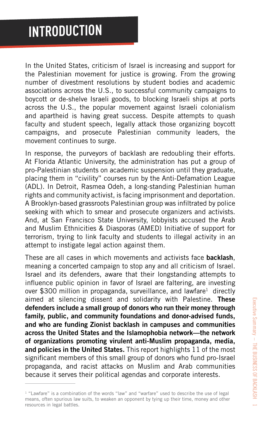# **INTRODUCTION**

In the United States, criticism of Israel is increasing and support for the Palestinian movement for justice is growing. From the growing number of divestment resolutions by student bodies and academic associations across the U.S., to successful community campaigns to boycott or de-shelve Israeli goods, to blocking Israeli ships at ports across the U.S., the popular movement against Israeli colonialism and apartheid is having great success. Despite attempts to quash faculty and student speech, legally attack those organizing boycott campaigns, and prosecute Palestinian community leaders, the movement continues to surge.

In response, the purveyors of backlash are redoubling their efforts. At Florida Atlantic University, the administration has put a group of pro-Palestinian students on academic suspension until they graduate, placing them in "civility" courses run by the Anti-Defamation League (ADL). In Detroit, Rasmea Odeh, a long-standing Palestinian human rights and community activist, is facing imprisonment and deportation. A Brooklyn-based grassroots Palestinian group was infiltrated by police seeking with which to smear and prosecute organizers and activists. And, at San Francisco State University, lobbyists accused the Arab and Muslim Ethnicities & Diasporas (AMED) Initiative of support for terrorism, trying to link faculty and students to illegal activity in an attempt to instigate legal action against them.

These are all cases in which movements and activists face **backlash**, meaning a concerted campaign to stop any and all criticism of Israel. Israel and its defenders, aware that their longstanding attempts to influence public opinion in favor of Israel are faltering, are investing over \$300 million in propaganda, surveillance, and lawfare<sup>1</sup> directly aimed at silencing dissent and solidarity with Palestine. **These defenders include a small group of donors who run their money through family, public, and community foundations and donor-advised funds, and who are funding Zionist backlash in campuses and communities across the United States and the Islamophobia network—the network of organizations promoting virulent anti-Muslim propaganda, media, and policies in the United States.** This report highlights 11 of the most significant members of this small group of donors who fund pro-Israel propaganda, and racist attacks on Muslim and Arab communities because it serves their political agendas and corporate interests.

 $1$  "Lawfare" is a combination of the words "law" and "warfare" used to describe the use of legal means, often spurious law suits, to weaken an opponent by tying up their time, money and other resources in legal battles.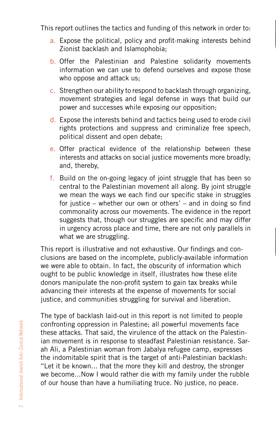This report outlines the tactics and funding of this network in order to:

- a. Expose the political, policy and profit-making interests behind Zionist backlash and Islamophobia;
- b. Offer the Palestinian and Palestine solidarity movements information we can use to defend ourselves and expose those who oppose and attack us;
- c. Strengthen our ability to respond to backlash through organizing, movement strategies and legal defense in ways that build our power and successes while exposing our opposition;
- d. Expose the interests behind and tactics being used to erode civil rights protections and suppress and criminalize free speech, political dissent and open debate;
- e. Offer practical evidence of the relationship between these interests and attacks on social justice movements more broadly; and, thereby,
- f. Build on the on-going legacy of joint struggle that has been so central to the Palestinian movement all along. By joint struggle we mean the ways we each find our specific stake in struggles for justice – whether our own or others' – and in doing so find commonality across our movements. The evidence in the report suggests that, though our struggles are specific and may differ in urgency across place and time, there are not only parallels in what we are struggling.

This report is illustrative and not exhaustive. Our findings and conclusions are based on the incomplete, publicly-available information we were able to obtain. In fact, the obscurity of information which ought to be public knowledge in itself, illustrates how these elite donors manipulate the non-profit system to gain tax breaks while advancing their interests at the expense of movements for social justice, and communities struggling for survival and liberation.

The type of backlash laid-out in this report is not limited to people confronting oppression in Palestine; all powerful movements face these attacks. That said, the virulence of the attack on the Palestinian movement is in response to steadfast Palestinian resistance. Sarah Ali, a Palestinian woman from Jabalya refugee camp, expresses the indomitable spirit that is the target of anti-Palestinian backlash: "Let it be known... that the more they kill and destroy, the stronger we become...Now I would rather die with my family under the rubble of our house than have a humiliating truce. No justice, no peace.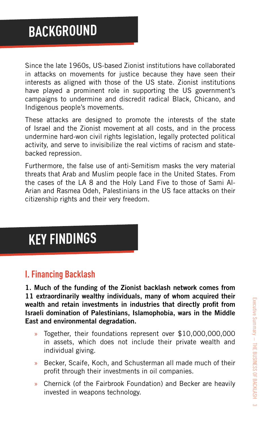Since the late 1960s, US-based Zionist institutions have collaborated in attacks on movements for justice because they have seen their interests as aligned with those of the US state. Zionist institutions have played a prominent role in supporting the US government's campaigns to undermine and discredit radical Black, Chicano, and Indigenous people's movements.

These attacks are designed to promote the interests of the state of Israel and the Zionist movement at all costs, and in the process undermine hard-won civil rights legislation, legally protected political activity, and serve to invisibilize the real victims of racism and statebacked repression.

Furthermore, the false use of anti-Semitism masks the very material threats that Arab and Muslim people face in the United States. From the cases of the LA 8 and the Holy Land Five to those of Sami Al-Arian and Rasmea Odeh, Palestinians in the US face attacks on their citizenship rights and their very freedom.

# **KEY FINDINGS**

### **I. Financing Backlash**

**1. Much of the funding of the Zionist backlash network comes from 11 extraordinarily wealthy individuals, many of whom acquired their wealth and retain investments in industries that directly profit from Israeli domination of Palestinians, Islamophobia, wars in the Middle East and environmental degradation.**

- » Together, their foundations represent over \$10,000,000,000 in assets, which does not include their private wealth and individual giving.
- Becker, Scaife, Koch, and Schusterman all made much of their profit through their investments in oil companies.
- » Chernick (of the Fairbrook Foundation) and Becker are heavily invested in weapons technology.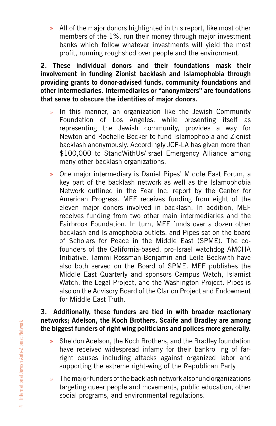» All of the major donors highlighted in this report, like most other members of the 1%, run their money through major investment banks which follow whatever investments will yield the most profit, running roughshod over people and the environment.

**2. These individual donors and their foundations mask their involvement in funding Zionist backlash and Islamophobia through providing grants to donor-advised funds, community foundations and other intermediaries. Intermediaries or "anonymizers" are foundations that serve to obscure the identities of major donors.** 

- » In this manner, an organization like the Jewish Community Foundation of Los Angeles, while presenting itself as representing the Jewish community, provides a way for Newton and Rochelle Becker to fund Islamophobia and Zionist backlash anonymously. Accordingly JCF-LA has given more than \$100,000 to StandWithUs/Israel Emergency Alliance among many other backlash organizations.
- » One major intermediary is Daniel Pipes' Middle East Forum, a key part of the backlash network as well as the Islamophobia Network outlined in the Fear Inc. report by the Center for American Progress. MEF receives funding from eight of the eleven major donors involved in backlash. In addition, MEF receives funding from two other main intermediaries and the Fairbrook Foundation. In turn, MEF funds over a dozen other backlash and Islamophobia outlets, and Pipes sat on the board of Scholars for Peace in the Middle East (SPME). The cofounders of the California-based, pro-Israel watchdog AMCHA Initiative, Tammi Rossman-Benjamin and Leila Beckwith have also both served on the Board of SPME. MEF publishes the Middle East Quarterly and sponsors Campus Watch, Islamist Watch, the Legal Project, and the Washington Project. Pipes is also on the Advisory Board of the Clarion Project and Endowment for Middle East Truth.

#### **3. Additionally, these funders are tied in with broader reactionary networks; Adelson, the Koch Brothers, Scaife and Bradley are among the biggest funders of right wing politicians and polices more generally.**

- » Sheldon Adelson, the Koch Brothers, and the Bradley foundation have received widespread infamy for their bankrolling of farright causes including attacks against organized labor and supporting the extreme right-wing of the Republican Party
- » The major funders of the backlash network also fund organizations targeting queer people and movements, public education, other social programs, and environmental regulations.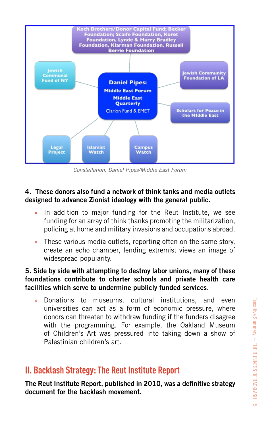

Constellation: Daniel Pipes/Middle East Forum

#### **4. These donors also fund a network of think tanks and media outlets designed to advance Zionist ideology with the general public.**

- » In addition to major funding for the Reut Institute, we see funding for an array of think thanks promoting the militarization, policing at home and military invasions and occupations abroad.
- » These various media outlets, reporting often on the same story, create an echo chamber, lending extremist views an image of widespread popularity.

#### **5. Side by side with attempting to destroy labor unions, many of these foundations contribute to charter schools and private health care facilities which serve to undermine publicly funded services.**

» Donations to museums, cultural institutions, and even universities can act as a form of economic pressure, where donors can threaten to withdraw funding if the funders disagree with the programming. For example, the Oakland Museum of Children's Art was pressured into taking down a show of Palestinian children's art.

### **II. Backlash Strategy: The Reut Institute Report**

**The Reut Institute Report, published in 2010, was a definitive strategy document for the backlash movement.**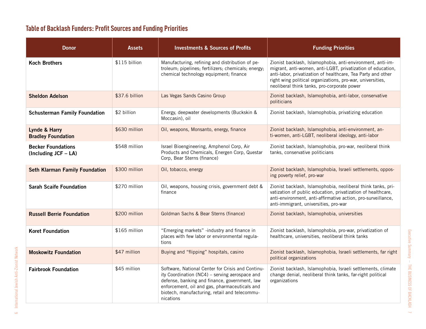### **Table of Backlash Funders: Proft Sources and Funding Priorities**

| <b>Donor</b>                                         | Assets         | <b>Investments &amp; Sources of Profits</b>                                                                                                                                                                                                                         | <b>Funding Priorities</b>                                                                                                                                                                                                                                                                              |
|------------------------------------------------------|----------------|---------------------------------------------------------------------------------------------------------------------------------------------------------------------------------------------------------------------------------------------------------------------|--------------------------------------------------------------------------------------------------------------------------------------------------------------------------------------------------------------------------------------------------------------------------------------------------------|
| <b>Koch Brothers</b>                                 | \$115 billion  | Manufacturing, refining and distribution of pe-<br>troleum; pipelines; fertilizers; chemicals; energy;<br>chemical technology equipment; finance                                                                                                                    | Zionist backlash, Islamophobia, anti-environment, anti-im-<br>migrant, anti-women, anti-LGBT, privatization of education,<br>anti-labor, privatization of healthcare, Tea Party and other<br>right wing political organizations, pro-war, universities,<br>neoliberal think tanks, pro-corporate power |
| <b>Sheldon Adelson</b>                               | \$37.6 billion | Las Vegas Sands Casino Group                                                                                                                                                                                                                                        | Zionist backlash, Islamophobia, anti-labor, conservative<br>politicians                                                                                                                                                                                                                                |
| <b>Schusterman Family Foundation</b>                 | \$2 billion    | Energy, deepwater developments (Buckskin &<br>Moccasin), oil                                                                                                                                                                                                        | Zionist backlash, Islamophobia, privatizing education                                                                                                                                                                                                                                                  |
| Lynde & Harry<br><b>Bradley Foundation</b>           | \$630 million  | Oil, weapons, Monsanto, energy, finance                                                                                                                                                                                                                             | Zionist backlash, Islamophobia, anti-environment, an-<br>ti-women, anti-LGBT, neoliberal ideology, anti-labor                                                                                                                                                                                          |
| <b>Becker Foundations</b><br>(Including $JCF - LA$ ) | \$548 million  | Israel Bioengineering, Amphenol Corp, Air<br>Products and Chemicals, Energen Corp, Questar<br>Corp, Bear Sterns (finance)                                                                                                                                           | Zionist backlash, Islamophobia, pro-war, neoliberal think<br>tanks, conservative politicians                                                                                                                                                                                                           |
| <b>Seth Klarman Family Foundation</b>                | \$300 million  | Oil, tobacco, energy                                                                                                                                                                                                                                                | Zionist backlash, Islamophobia, Israeli settlements, oppos-<br>ing poverty relief, pro-war                                                                                                                                                                                                             |
| <b>Sarah Scaife Foundation</b>                       | \$270 million  | Oil, weapons, housing crisis, government debt &<br>finance                                                                                                                                                                                                          | Zionist backlash, Islamophobia, neoliberal think tanks, pri-<br>vatization of public education, privatization of healthcare,<br>anti-environment, anti-affirmative action, pro-surveillance,<br>anti-immigrant, universities, pro-war                                                                  |
| <b>Russell Berrie Foundation</b>                     | \$200 million  | Goldman Sachs & Bear Sterns (finance)                                                                                                                                                                                                                               | Zionist backlash, Islamophobia, universities                                                                                                                                                                                                                                                           |
| <b>Koret Foundation</b>                              | \$165 million  | "Emerging markets" -industry and finance in<br>places with few labor or environmental regula-<br>tions                                                                                                                                                              | Zionist backlash, Islamophobia, pro-war, privatization of<br>healthcare, universities, neoliberal think tanks                                                                                                                                                                                          |
| <b>Moskowitz Foundation</b>                          | \$47 million   | Buying and "flipping" hospitals, casino                                                                                                                                                                                                                             | Zionist backlash, Islamophobia, Israeli settlements, far right<br>political organizations                                                                                                                                                                                                              |
| <b>Fairbrook Foundation</b>                          | \$45 million   | Software, National Center for Crisis and Continu-<br>ity Coordination (NC4) - serving aerospace and<br>defense, banking and finance, government, law<br>enforcement, oil and gas, pharmaceuticals and<br>biotech, manufacturing, retail and telecommu-<br>nications | Zionist backlash, Islamophobia, Israeli settlements, climate<br>change denial, neoliberal think tanks, far-right political<br>organizations                                                                                                                                                            |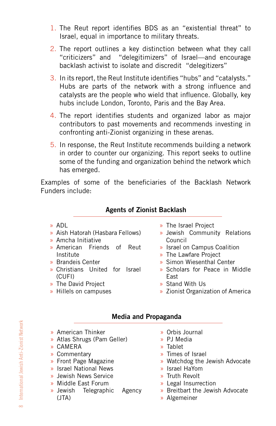- 1. The Reut report identifies BDS as an "existential threat" to Israel, equal in importance to military threats.
- 2. The report outlines a key distinction between what they call "criticizers" and "delegitimizers" of Israel—and encourage backlash activist to isolate and discredit "delegitizers"
- 3. In its report, the Reut Institute identifies "hubs" and "catalysts." Hubs are parts of the network with a strong influence and catalysts are the people who wield that influence. Globally, key hubs include London, Toronto, Paris and the Bay Area.
- 4. The report identifies students and organized labor as major contributors to past movements and recommends investing in confronting anti-Zionist organizing in these arenas.
- 5. In response, the Reut Institute recommends building a network in order to counter our organizing. This report seeks to outline some of the funding and organization behind the network which has emerged.

Examples of some of the beneficiaries of the Backlash Network Funders include:

#### **Agents of Zionist Backlash**

- » ADL
- » Aish Hatorah (Hasbara Fellows)
- » Amcha Initiative
- » American Friends of Reut Institute
- » Brandeis Center
- » Christians United for Israel (CUFI)
- » The David Project
- » Hillels on campuses
- » The Israel Project
- » Jewish Community Relations Council
- » Israel on Campus Coalition
- » The Lawfare Project
- » Simon Wiesenthal Center
- » Scholars for Peace in Middle East
- » Stand With Us
- » Zionist Organization of America

#### **Media and Propaganda**

- » American Thinker
- » Atlas Shrugs (Pam Geller)
- » CAMERA
- » Commentary
- » Front Page Magazine
- » Israel National News
- » Jewish News Service
- » Middle East Forum
- » Jewish Telegraphic Agency (JTA)
- » Orbis Journal
- » PJ Media
- » Tablet
- » Times of Israel
- » Watchdog the Jewish Advocate
- » Israel HaYom
- » Truth Revolt
- » Legal Insurrection
- » Breitbart the Jewish Advocate
- » Algemeiner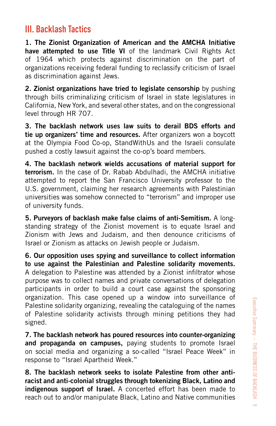### **III. Backlash Tactics**

**1. The Zionist Organization of American and the AMCHA Initiative have attempted to use Title VI** of the landmark Civil Rights Act of 1964 which protects against discrimination on the part of organizations receiving federal funding to reclassify criticism of Israel as discrimination against Jews.

**2. Zionist organizations have tried to legislate censorship** by pushing through bills criminalizing criticism of Israel in state legislatures in California, New York, and several other states, and on the congressional level through HR 707.

**3. The backlash network uses law suits to derail BDS efforts and tie up organizers' time and resources.** After organizers won a boycott at the Olympia Food Co-op, StandWithUs and the Israeli consulate pushed a costly lawsuit against the co-op's board members.

**4. The backlash network wields accusations of material support for terrorism.** In the case of Dr. Rabab Abdulhadi, the AMCHA initiative attempted to report the San Francisco University professor to the U.S. government, claiming her research agreements with Palestinian universities was somehow connected to "terrorism" and improper use of university funds.

**5. Purveyors of backlash make false claims of anti-Semitism.** A longstanding strategy of the Zionist movement is to equate Israel and Zionism with Jews and Judaism, and then denounce criticisms of Israel or Zionism as attacks on Jewish people or Judaism.

**6. Our opposition uses spying and surveillance to collect information to use against the Palestinian and Palestine solidarity movements.** A delegation to Palestine was attended by a Zionist infiltrator whose purpose was to collect names and private conversations of delegation participants in order to build a court case against the sponsoring organization. This case opened up a window into surveillance of Palestine solidarity organizing, revealing the cataloguing of the names of Palestine solidarity activists through mining petitions they had signed.

**7. The backlash network has poured resources into counter-organizing and propaganda on campuses,** paying students to promote Israel on social media and organizing a so-called "Israel Peace Week" in response to "Israel Apartheid Week."

**8. The backlash network seeks to isolate Palestine from other antiracist and anti-colonial struggles through tokenizing Black, Latino and indigenous support of Israel.** A concerted effort has been made to reach out to and/or manipulate Black, Latino and Native communities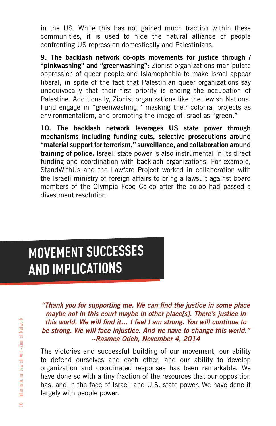in the US. While this has not gained much traction within these communities, it is used to hide the natural alliance of people confronting US repression domestically and Palestinians.

**9. The backlash network co-opts movements for justice through / "pinkwashing" and "greenwashing":** Zionist organizations manipulate oppression of queer people and Islamophobia to make Israel appear liberal, in spite of the fact that Palestinian queer organizations say unequivocally that their first priority is ending the occupation of Palestine. Additionally, Zionist organizations like the Jewish National Fund engage in "greenwashing," masking their colonial projects as environmentalism, and promoting the image of Israel as "green."

**10. The backlash network leverages US state power through mechanisms including funding cuts, selective prosecutions around "material support for terrorism," surveillance, and collaboration around training of police.** Israeli state power is also instrumental in its direct funding and coordination with backlash organizations. For example, StandWithUs and the Lawfare Project worked in collaboration with the Israeli ministry of foreign affairs to bring a lawsuit against board members of the Olympia Food Co-op after the co-op had passed a divestment resolution.

# **MOVEMENT SUCCESSES AND IMPLICATIONS**

**"Thank you for supporting me. We can find the justice in some place maybe not in this court maybe in other place[s]. There's justice in this world. We will find it… I feel I am strong. You will continue to be strong. We will face injustice. And we have to change this world." ~Rasmea Odeh, November 4, 2014**

The victories and successful building of our movement, our ability to defend ourselves and each other, and our ability to develop organization and coordinated responses has been remarkable. We have done so with a tiny fraction of the resources that our opposition has, and in the face of Israeli and U.S. state power. We have done it largely with people power.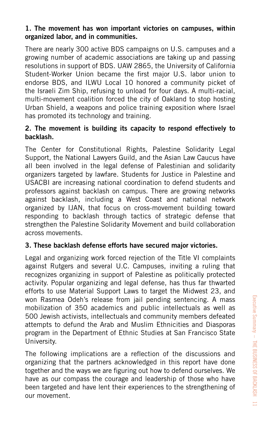#### **1. The movement has won important victories on campuses, within organized labor, and in communities.**

There are nearly 300 active BDS campaigns on U.S. campuses and a growing number of academic associations are taking up and passing resolutions in support of BDS. UAW 2865, the University of California Student-Worker Union became the first major U.S. labor union to endorse BDS, and ILWU Local 10 honored a community picket of the Israeli Zim Ship, refusing to unload for four days. A multi-racial, multi-movement coalition forced the city of Oakland to stop hosting Urban Shield, a weapons and police training exposition where Israel has promoted its technology and training.

#### **2. The movement is building its capacity to respond effectively to backlash.**

The Center for Constitutional Rights, Palestine Solidarity Legal Support, the National Lawyers Guild, and the Asian Law Caucus have all been involved in the legal defense of Palestinian and solidarity organizers targeted by lawfare. Students for Justice in Palestine and USACBI are increasing national coordination to defend students and professors against backlash on campus. There are growing networks against backlash, including a West Coast and national network organized by IJAN, that focus on cross-movement building toward responding to backlash through tactics of strategic defense that strengthen the Palestine Solidarity Movement and build collaboration across movements.

#### **3. These backlash defense efforts have secured major victories.**

Legal and organizing work forced rejection of the Title VI complaints against Rutgers and several U.C. Campuses, inviting a ruling that recognizes organizing in support of Palestine as politically protected activity. Popular organizing and legal defense, has thus far thwarted efforts to use Material Support Laws to target the Midwest 23, and won Rasmea Odeh's release from jail pending sentencing. A mass mobilization of 350 academics and public intellectuals as well as 500 Jewish activists, intellectuals and community members defeated attempts to defund the Arab and Muslim Ethnicities and Diasporas program in the Department of Ethnic Studies at San Francisco State University.

The following implications are a reflection of the discussions and organizing that the partners acknowledged in this report have done together and the ways we are figuring out how to defend ourselves. We have as our compass the courage and leadership of those who have been targeted and have lent their experiences to the strengthening of our movement.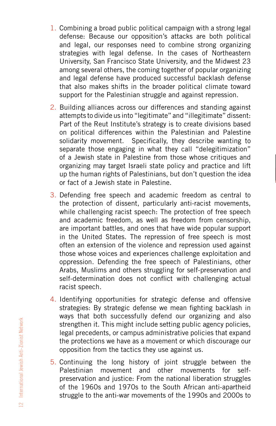- 1. Combining a broad public political campaign with a strong legal defense: Because our opposition's attacks are both political and legal, our responses need to combine strong organizing strategies with legal defense. In the cases of Northeastern University, San Francisco State University, and the Midwest 23 among several others, the coming together of popular organizing and legal defense have produced successful backlash defense that also makes shifts in the broader political climate toward support for the Palestinian struggle and against repression.
- 2. Building alliances across our differences and standing against attempts to divide us into "legitimate" and "illegitimate" dissent: Part of the Reut Institute's strategy is to create divisions based on political differences within the Palestinian and Palestine solidarity movement. Specifically, they describe wanting to separate those engaging in what they call "delegitimization" of a Jewish state in Palestine from those whose critiques and organizing may target Israeli state policy and practice and lift up the human rights of Palestinians, but don't question the idea or fact of a Jewish state in Palestine.
- 3. Defending free speech and academic freedom as central to the protection of dissent, particularly anti-racist movements, while challenging racist speech: The protection of free speech and academic freedom, as well as freedom from censorship, are important battles, and ones that have wide popular support in the United States. The repression of free speech is most often an extension of the violence and repression used against those whose voices and experiences challenge exploitation and oppression. Defending the free speech of Palestinians, other Arabs, Muslims and others struggling for self-preservation and self-determination does not conflict with challenging actual racist speech.
- 4. Identifying opportunities for strategic defense and offensive strategies: By strategic defense we mean fighting backlash in ways that both successfully defend our organizing and also strengthen it. This might include setting public agency policies, legal precedents, or campus administrative policies that expand the protections we have as a movement or which discourage our opposition from the tactics they use against us.
- 5. Continuing the long history of joint struggle between the Palestinian movement and other movements for selfpreservation and justice: From the national liberation struggles of the 1960s and 1970s to the South African anti-apartheid struggle to the anti-war movements of the 1990s and 2000s to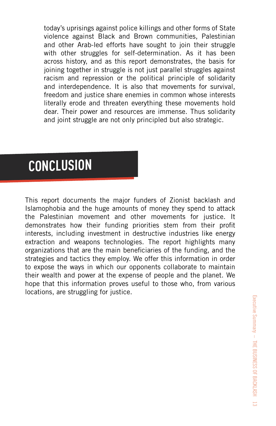today's uprisings against police killings and other forms of State violence against Black and Brown communities, Palestinian and other Arab-led efforts have sought to join their struggle with other struggles for self-determination. As it has been across history, and as this report demonstrates, the basis for joining together in struggle is not just parallel struggles against racism and repression or the political principle of solidarity and interdependence. It is also that movements for survival, freedom and justice share enemies in common whose interests literally erode and threaten everything these movements hold dear. Their power and resources are immense. Thus solidarity and joint struggle are not only principled but also strategic.

# **CONCLUSION**

This report documents the major funders of Zionist backlash and Islamophobia and the huge amounts of money they spend to attack the Palestinian movement and other movements for justice. It demonstrates how their funding priorities stem from their profit interests, including investment in destructive industries like energy extraction and weapons technologies. The report highlights many organizations that are the main beneficiaries of the funding, and the strategies and tactics they employ. We offer this information in order to expose the ways in which our opponents collaborate to maintain their wealth and power at the expense of people and the planet. We hope that this information proves useful to those who, from various locations, are struggling for justice.